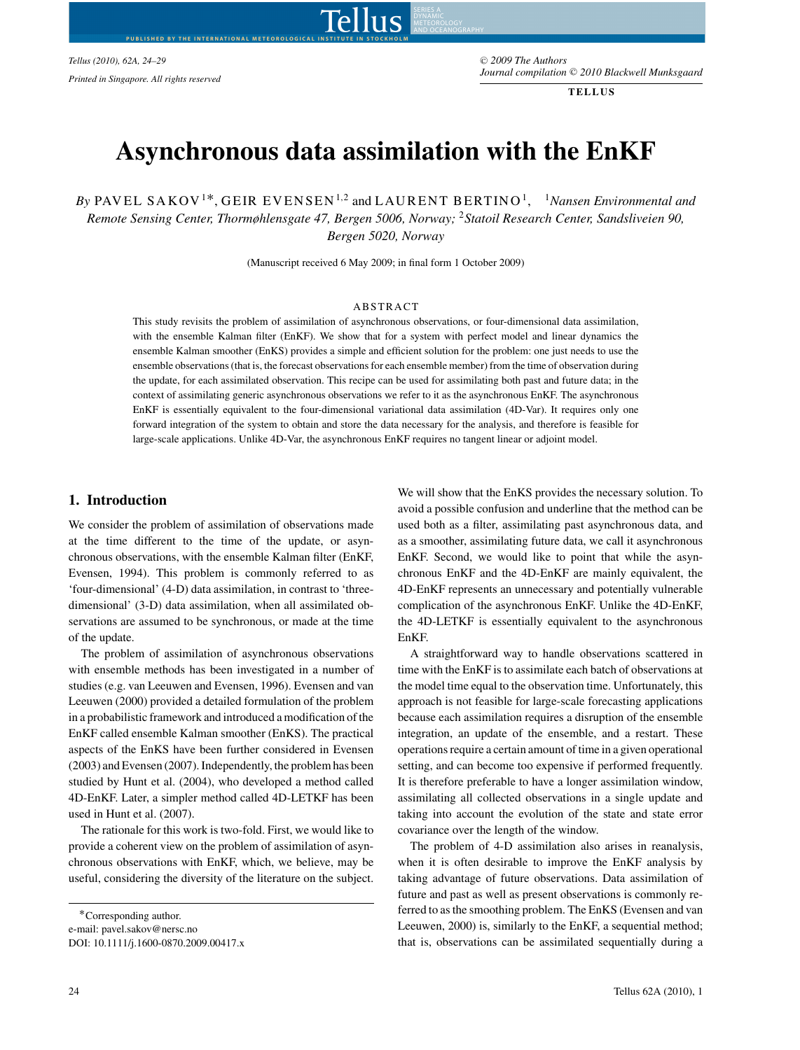$Tellus$  (2010), 62A, 24-29

**BY THE INTERNATIONAL METE** 

<sup>C</sup> *2009 The Authors Journal compilation* -<sup>C</sup> *2010 Blackwell Munksgaard Printed in Singapore. All rights reserved*

**TELLUS**

# **Asynchronous data assimilation with the EnKF**

<u>lus</u>

AND OCEANOGRAPHY

*By* PAVEL SAKOV<sup>1\*</sup>, GEIR EVENSEN<sup>1,2</sup> and LAURENT BERTINO<sup>1</sup>, <sup>1</sup>Nansen Environmental and *Remote Sensing Center, Thormøhlensgate 47, Bergen 5006, Norway;* <sup>2</sup>*Statoil Research Center, Sandsliveien 90, Bergen 5020, Norway*

(Manuscript received 6 May 2009; in final form 1 October 2009)

#### ABSTRACT

This study revisits the problem of assimilation of asynchronous observations, or four-dimensional data assimilation, with the ensemble Kalman filter (EnKF). We show that for a system with perfect model and linear dynamics the ensemble Kalman smoother (EnKS) provides a simple and efficient solution for the problem: one just needs to use the ensemble observations (that is, the forecast observations for each ensemble member) from the time of observation during the update, for each assimilated observation. This recipe can be used for assimilating both past and future data; in the context of assimilating generic asynchronous observations we refer to it as the asynchronous EnKF. The asynchronous EnKF is essentially equivalent to the four-dimensional variational data assimilation (4D-Var). It requires only one forward integration of the system to obtain and store the data necessary for the analysis, and therefore is feasible for large-scale applications. Unlike 4D-Var, the asynchronous EnKF requires no tangent linear or adjoint model.

### **1. Introduction**

We consider the problem of assimilation of observations made at the time different to the time of the update, or asynchronous observations, with the ensemble Kalman filter (EnKF, Evensen, 1994). This problem is commonly referred to as 'four-dimensional' (4-D) data assimilation, in contrast to 'threedimensional' (3-D) data assimilation, when all assimilated observations are assumed to be synchronous, or made at the time of the update.

The problem of assimilation of asynchronous observations with ensemble methods has been investigated in a number of studies (e.g. van Leeuwen and Evensen, 1996). Evensen and van Leeuwen (2000) provided a detailed formulation of the problem in a probabilistic framework and introduced a modification of the EnKF called ensemble Kalman smoother (EnKS). The practical aspects of the EnKS have been further considered in Evensen (2003) and Evensen (2007). Independently, the problem has been studied by Hunt et al. (2004), who developed a method called 4D-EnKF. Later, a simpler method called 4D-LETKF has been used in Hunt et al. (2007).

The rationale for this work is two-fold. First, we would like to provide a coherent view on the problem of assimilation of asynchronous observations with EnKF, which, we believe, may be useful, considering the diversity of the literature on the subject.

We will show that the EnKS provides the necessary solution. To avoid a possible confusion and underline that the method can be used both as a filter, assimilating past asynchronous data, and as a smoother, assimilating future data, we call it asynchronous EnKF. Second, we would like to point that while the asynchronous EnKF and the 4D-EnKF are mainly equivalent, the 4D-EnKF represents an unnecessary and potentially vulnerable complication of the asynchronous EnKF. Unlike the 4D-EnKF, the 4D-LETKF is essentially equivalent to the asynchronous EnKF.

A straightforward way to handle observations scattered in time with the EnKF is to assimilate each batch of observations at the model time equal to the observation time. Unfortunately, this approach is not feasible for large-scale forecasting applications because each assimilation requires a disruption of the ensemble integration, an update of the ensemble, and a restart. These operations require a certain amount of time in a given operational setting, and can become too expensive if performed frequently. It is therefore preferable to have a longer assimilation window, assimilating all collected observations in a single update and taking into account the evolution of the state and state error covariance over the length of the window.

The problem of 4-D assimilation also arises in reanalysis, when it is often desirable to improve the EnKF analysis by taking advantage of future observations. Data assimilation of future and past as well as present observations is commonly referred to as the smoothing problem. The EnKS (Evensen and van Leeuwen, 2000) is, similarly to the EnKF, a sequential method; that is, observations can be assimilated sequentially during a

<sup>∗</sup>Corresponding author. e-mail: pavel.sakov@nersc.no DOI: 10.1111/j.1600-0870.2009.00417.x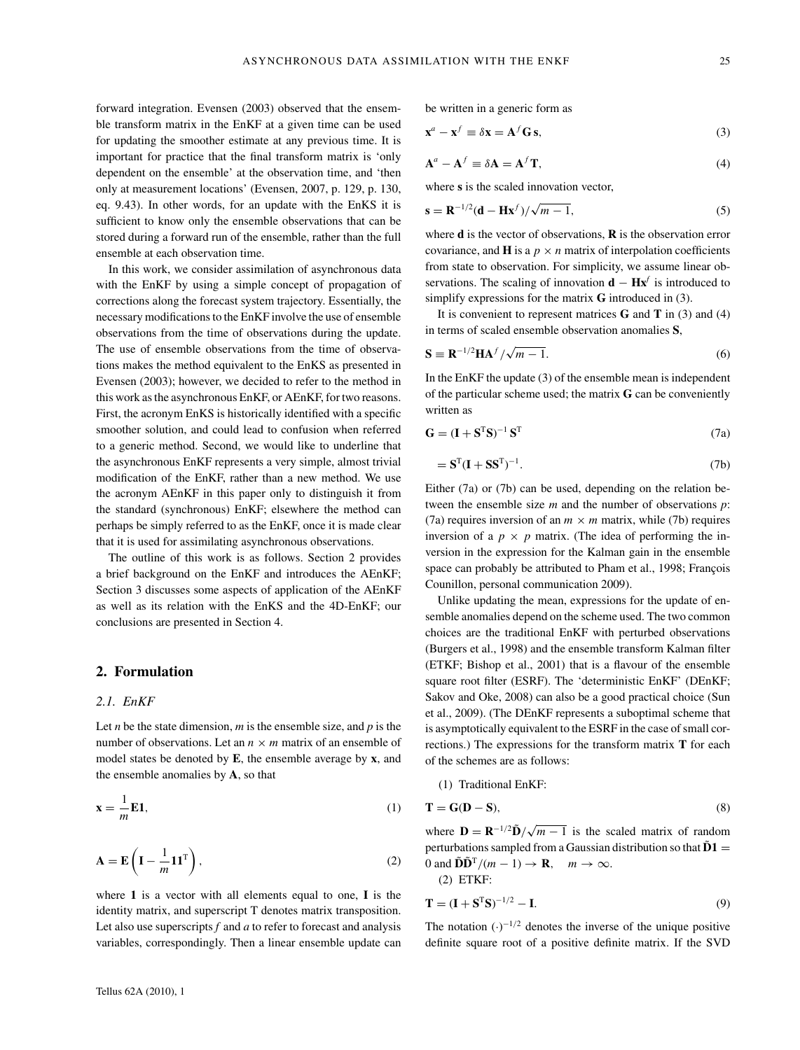forward integration. Evensen (2003) observed that the ensemble transform matrix in the EnKF at a given time can be used for updating the smoother estimate at any previous time. It is important for practice that the final transform matrix is 'only dependent on the ensemble' at the observation time, and 'then only at measurement locations' (Evensen, 2007, p. 129, p. 130, eq. 9.43). In other words, for an update with the EnKS it is sufficient to know only the ensemble observations that can be stored during a forward run of the ensemble, rather than the full ensemble at each observation time.

In this work, we consider assimilation of asynchronous data with the EnKF by using a simple concept of propagation of corrections along the forecast system trajectory. Essentially, the necessary modifications to the EnKF involve the use of ensemble observations from the time of observations during the update. The use of ensemble observations from the time of observations makes the method equivalent to the EnKS as presented in Evensen (2003); however, we decided to refer to the method in this work as the asynchronous EnKF, or AEnKF, for two reasons. First, the acronym EnKS is historically identified with a specific smoother solution, and could lead to confusion when referred to a generic method. Second, we would like to underline that the asynchronous EnKF represents a very simple, almost trivial modification of the EnKF, rather than a new method. We use the acronym AEnKF in this paper only to distinguish it from the standard (synchronous) EnKF; elsewhere the method can perhaps be simply referred to as the EnKF, once it is made clear that it is used for assimilating asynchronous observations.

The outline of this work is as follows. Section 2 provides a brief background on the EnKF and introduces the AEnKF; Section 3 discusses some aspects of application of the AEnKF as well as its relation with the EnKS and the 4D-EnKF; our conclusions are presented in Section 4.

## **2. Formulation**

## *2.1. EnKF*

Let *n* be the state dimension,  $m$  is the ensemble size, and  $p$  is the number of observations. Let an  $n \times m$  matrix of an ensemble of model states be denoted by **E**, the ensemble average by **x**, and the ensemble anomalies by **A**, so that

$$
\mathbf{x} = \frac{1}{m} \mathbf{E} \mathbf{1},\tag{1}
$$

$$
\mathbf{A} = \mathbf{E}\left(\mathbf{I} - \frac{1}{m}\mathbf{1}\mathbf{1}^{\mathrm{T}}\right),\tag{2}
$$

where **1** is a vector with all elements equal to one, **I** is the identity matrix, and superscript T denotes matrix transposition. Let also use superscripts *f* and *a* to refer to forecast and analysis variables, correspondingly. Then a linear ensemble update can be written in a generic form as

$$
\mathbf{x}^a - \mathbf{x}^f \equiv \delta \mathbf{x} = \mathbf{A}^f \mathbf{G} \mathbf{s},\tag{3}
$$

$$
\mathbf{A}^a - \mathbf{A}^f \equiv \delta \mathbf{A} = \mathbf{A}^f \mathbf{T},\tag{4}
$$

where **s** is the scaled innovation vector,

$$
\mathbf{s} = \mathbf{R}^{-1/2}(\mathbf{d} - \mathbf{H}\mathbf{x}^f)/\sqrt{m-1},
$$
\n(5)

where **d** is the vector of observations, **R** is the observation error covariance, and **H** is a  $p \times n$  matrix of interpolation coefficients from state to observation. For simplicity, we assume linear observations. The scaling of innovation **d** − **Hx***<sup>f</sup>* is introduced to simplify expressions for the matrix **G** introduced in (3).

It is convenient to represent matrices **G** and **T** in (3) and (4) in terms of scaled ensemble observation anomalies **S**,

$$
\mathbf{S} \equiv \mathbf{R}^{-1/2} \mathbf{H} \mathbf{A}^f / \sqrt{m - 1}.
$$
 (6)

In the EnKF the update (3) of the ensemble mean is independent of the particular scheme used; the matrix **G** can be conveniently written as

$$
\mathbf{G} = (\mathbf{I} + \mathbf{S}^{\mathrm{T}} \mathbf{S})^{-1} \mathbf{S}^{\mathrm{T}}
$$
 (7a)

$$
= \mathbf{S}^{\mathrm{T}} (\mathbf{I} + \mathbf{S} \mathbf{S}^{\mathrm{T}})^{-1}.
$$
 (7b)

Either (7a) or (7b) can be used, depending on the relation between the ensemble size *m* and the number of observations *p*: (7a) requires inversion of an  $m \times m$  matrix, while (7b) requires inversion of a  $p \times p$  matrix. (The idea of performing the inversion in the expression for the Kalman gain in the ensemble space can probably be attributed to Pham et al., 1998; François Counillon, personal communication 2009).

Unlike updating the mean, expressions for the update of ensemble anomalies depend on the scheme used. The two common choices are the traditional EnKF with perturbed observations (Burgers et al., 1998) and the ensemble transform Kalman filter (ETKF; Bishop et al., 2001) that is a flavour of the ensemble square root filter (ESRF). The 'deterministic EnKF' (DEnKF; Sakov and Oke, 2008) can also be a good practical choice (Sun et al., 2009). (The DEnKF represents a suboptimal scheme that is asymptotically equivalent to the ESRF in the case of small corrections.) The expressions for the transform matrix **T** for each of the schemes are as follows:

(1) Traditional EnKF:

$$
\mathbf{T} = \mathbf{G}(\mathbf{D} - \mathbf{S}),\tag{8}
$$

where  $\mathbf{D} = \mathbf{R}^{-1/2} \tilde{\mathbf{D}} / \sqrt{m-1}$  is the scaled matrix of random perturbations sampled from a Gaussian distribution so that  $\tilde{D}1 =$ 0 and  $\tilde{\mathbf{D}}\tilde{\mathbf{D}}^{\mathrm{T}}/(m-1) \to \mathbf{R}$ ,  $m \to \infty$ .

(2) ETKF:

$$
\mathbf{T} = (\mathbf{I} + \mathbf{S}^{\mathrm{T}} \mathbf{S})^{-1/2} - \mathbf{I}.
$$
 (9)

The notation  $(\cdot)^{-1/2}$  denotes the inverse of the unique positive definite square root of a positive definite matrix. If the SVD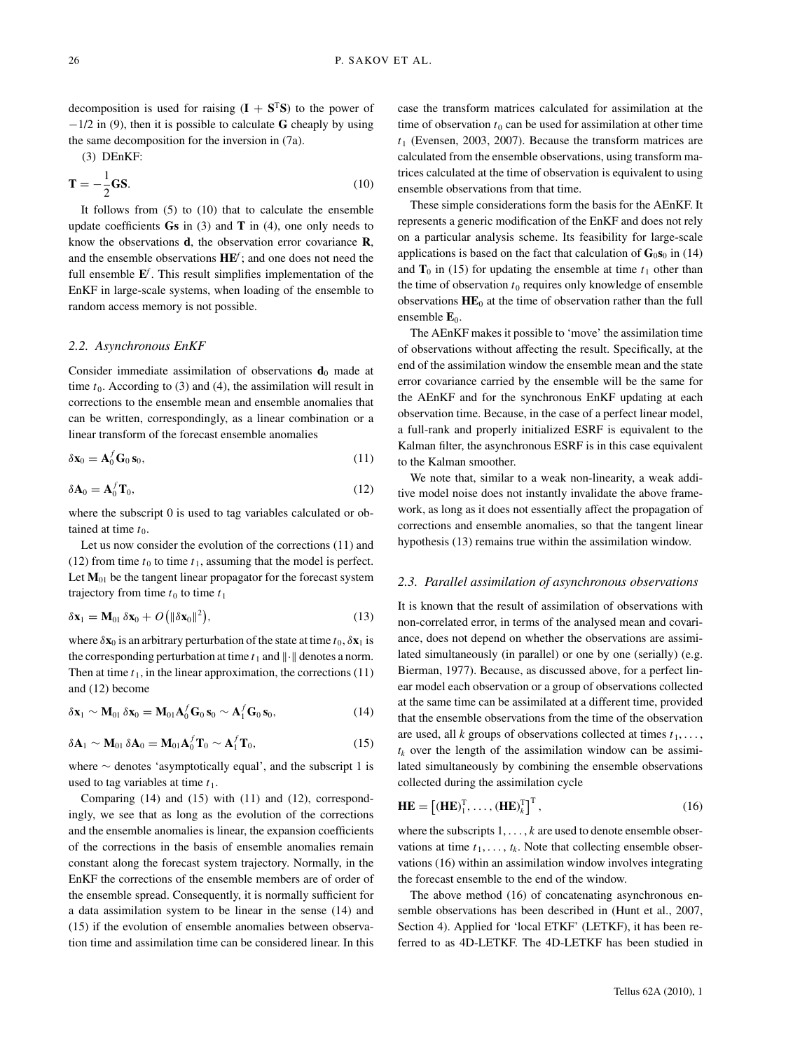decomposition is used for raising  $(I + S^{T}S)$  to the power of −1/2 in (9), then it is possible to calculate **G** cheaply by using the same decomposition for the inversion in (7a).

(3) DEnKF:

$$
\mathbf{T} = -\frac{1}{2}\mathbf{G}\mathbf{S}.\tag{10}
$$

It follows from (5) to (10) that to calculate the ensemble update coefficients **Gs** in (3) and **T** in (4), one only needs to know the observations **d**, the observation error covariance **R**, and the ensemble observations **HE***<sup>f</sup>* ; and one does not need the full ensemble **E***<sup>f</sup>* . This result simplifies implementation of the EnKF in large-scale systems, when loading of the ensemble to random access memory is not possible.

#### *2.2. Asynchronous EnKF*

Consider immediate assimilation of observations  $\mathbf{d}_0$  made at time  $t_0$ . According to (3) and (4), the assimilation will result in corrections to the ensemble mean and ensemble anomalies that can be written, correspondingly, as a linear combination or a linear transform of the forecast ensemble anomalies

$$
\delta \mathbf{x}_0 = \mathbf{A}_0^f \mathbf{G}_0 \mathbf{s}_0, \tag{11}
$$

$$
\delta \mathbf{A}_0 = \mathbf{A}_0^f \mathbf{T}_0, \tag{12}
$$

where the subscript 0 is used to tag variables calculated or obtained at time  $t_0$ .

Let us now consider the evolution of the corrections (11) and (12) from time  $t_0$  to time  $t_1$ , assuming that the model is perfect. Let  $M<sub>01</sub>$  be the tangent linear propagator for the forecast system trajectory from time  $t_0$  to time  $t_1$ 

$$
\delta \mathbf{x}_1 = \mathbf{M}_{01} \, \delta \mathbf{x}_0 + O\big( \|\delta \mathbf{x}_0\|^2 \big),\tag{13}
$$

where  $\delta$ **x**<sub>0</sub> is an arbitrary perturbation of the state at time  $t_0$ ,  $\delta$ **x**<sub>1</sub> is the corresponding perturbation at time  $t_1$  and  $\|\cdot\|$  denotes a norm. Then at time  $t_1$ , in the linear approximation, the corrections  $(11)$ and (12) become

$$
\delta \mathbf{x}_1 \sim \mathbf{M}_{01} \, \delta \mathbf{x}_0 = \mathbf{M}_{01} \mathbf{A}_0^f \mathbf{G}_0 \, \mathbf{s}_0 \sim \mathbf{A}_1^f \mathbf{G}_0 \, \mathbf{s}_0,\tag{14}
$$

$$
\delta \mathbf{A}_1 \sim \mathbf{M}_{01} \, \delta \mathbf{A}_0 = \mathbf{M}_{01} \mathbf{A}_0^f \mathbf{T}_0 \sim \mathbf{A}_1^f \mathbf{T}_0, \tag{15}
$$

where ∼ denotes 'asymptotically equal', and the subscript 1 is used to tag variables at time  $t_1$ .

Comparing (14) and (15) with (11) and (12), correspondingly, we see that as long as the evolution of the corrections and the ensemble anomalies is linear, the expansion coefficients of the corrections in the basis of ensemble anomalies remain constant along the forecast system trajectory. Normally, in the EnKF the corrections of the ensemble members are of order of the ensemble spread. Consequently, it is normally sufficient for a data assimilation system to be linear in the sense (14) and (15) if the evolution of ensemble anomalies between observation time and assimilation time can be considered linear. In this case the transform matrices calculated for assimilation at the time of observation  $t_0$  can be used for assimilation at other time  $t_1$  (Evensen, 2003, 2007). Because the transform matrices are calculated from the ensemble observations, using transform matrices calculated at the time of observation is equivalent to using ensemble observations from that time.

These simple considerations form the basis for the AEnKF. It represents a generic modification of the EnKF and does not rely on a particular analysis scheme. Its feasibility for large-scale applications is based on the fact that calculation of  $\mathbf{G}_0\mathbf{s}_0$  in (14) and  $T_0$  in (15) for updating the ensemble at time  $t_1$  other than the time of observation  $t_0$  requires only knowledge of ensemble observations  $\mathbf{H}\mathbf{E}_0$  at the time of observation rather than the full ensemble **E**<sub>0</sub>.

The AEnKF makes it possible to 'move' the assimilation time of observations without affecting the result. Specifically, at the end of the assimilation window the ensemble mean and the state error covariance carried by the ensemble will be the same for the AEnKF and for the synchronous EnKF updating at each observation time. Because, in the case of a perfect linear model, a full-rank and properly initialized ESRF is equivalent to the Kalman filter, the asynchronous ESRF is in this case equivalent to the Kalman smoother.

We note that, similar to a weak non-linearity, a weak additive model noise does not instantly invalidate the above framework, as long as it does not essentially affect the propagation of corrections and ensemble anomalies, so that the tangent linear hypothesis (13) remains true within the assimilation window.

## *2.3. Parallel assimilation of asynchronous observations*

It is known that the result of assimilation of observations with non-correlated error, in terms of the analysed mean and covariance, does not depend on whether the observations are assimilated simultaneously (in parallel) or one by one (serially) (e.g. Bierman, 1977). Because, as discussed above, for a perfect linear model each observation or a group of observations collected at the same time can be assimilated at a different time, provided that the ensemble observations from the time of the observation are used, all *k* groups of observations collected at times  $t_1, \ldots$ ,  $t_k$  over the length of the assimilation window can be assimilated simultaneously by combining the ensemble observations collected during the assimilation cycle

$$
\mathbf{H}\mathbf{E} = \left[ (\mathbf{H}\mathbf{E})_1^{\mathrm{T}}, \dots, (\mathbf{H}\mathbf{E})_k^{\mathrm{T}} \right]^{\mathrm{T}}, \tag{16}
$$

where the subscripts  $1, \ldots, k$  are used to denote ensemble observations at time  $t_1, \ldots, t_k$ . Note that collecting ensemble observations (16) within an assimilation window involves integrating the forecast ensemble to the end of the window.

The above method (16) of concatenating asynchronous ensemble observations has been described in (Hunt et al., 2007, Section 4). Applied for 'local ETKF' (LETKF), it has been referred to as 4D-LETKF. The 4D-LETKF has been studied in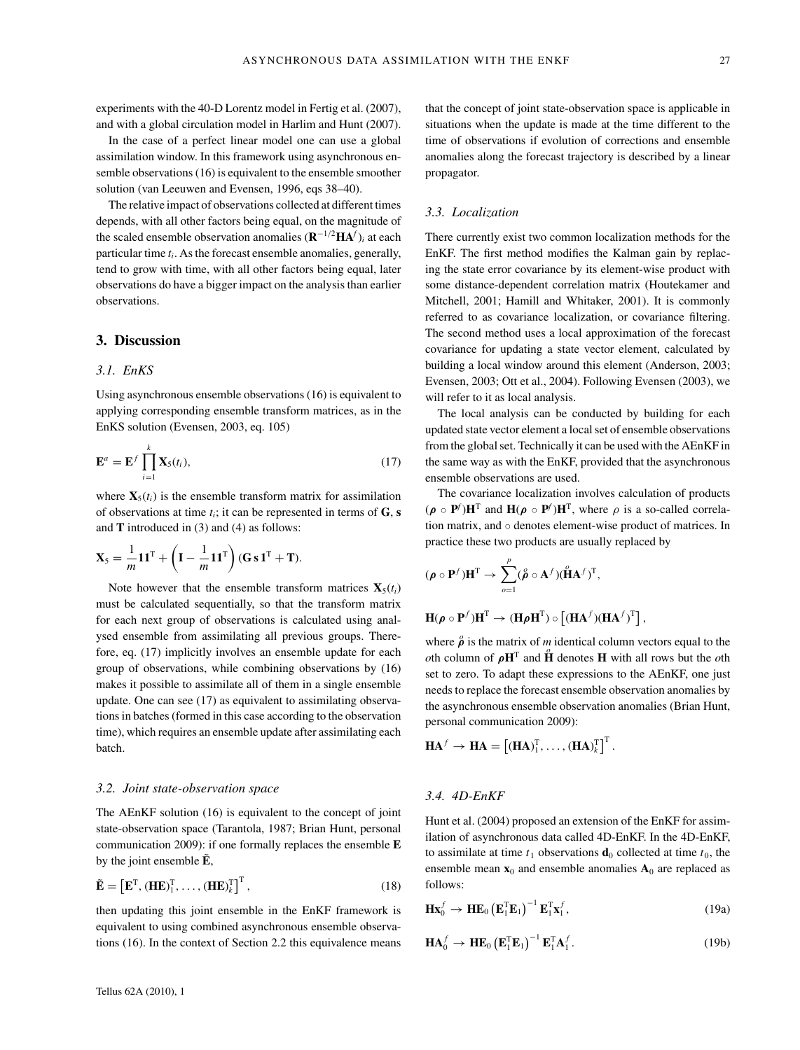experiments with the 40-D Lorentz model in Fertig et al. (2007), and with a global circulation model in Harlim and Hunt (2007).

In the case of a perfect linear model one can use a global assimilation window. In this framework using asynchronous ensemble observations (16) is equivalent to the ensemble smoother solution (van Leeuwen and Evensen, 1996, eqs 38–40).

The relative impact of observations collected at different times depends, with all other factors being equal, on the magnitude of the scaled ensemble observation anomalies  $(\mathbf{R}^{-1/2} \mathbf{H} \mathbf{A}^f)_i$  at each particular time *ti*. As the forecast ensemble anomalies, generally, tend to grow with time, with all other factors being equal, later observations do have a bigger impact on the analysis than earlier observations.

# **3. Discussion**

## *3.1. EnKS*

Using asynchronous ensemble observations (16) is equivalent to applying corresponding ensemble transform matrices, as in the EnKS solution (Evensen, 2003, eq. 105)

$$
\mathbf{E}^a = \mathbf{E}^f \prod_{i=1}^k \mathbf{X}_5(t_i), \tag{17}
$$

where  $\mathbf{X}_5(t_i)$  is the ensemble transform matrix for assimilation of observations at time  $t_i$ ; it can be represented in terms of  $\bf{G}$ ,  $\bf{s}$ and **T** introduced in (3) and (4) as follows:

$$
\mathbf{X}_5 = \frac{1}{m}\mathbf{1}\mathbf{1}^{\mathrm{T}} + \left(\mathbf{I} - \frac{1}{m}\mathbf{1}\mathbf{1}^{\mathrm{T}}\right)(\mathbf{G}\,\mathbf{s}\,\mathbf{1}^{\mathrm{T}} + \mathbf{T}).
$$

Note however that the ensemble transform matrices  $\mathbf{X}_5(t_i)$ must be calculated sequentially, so that the transform matrix for each next group of observations is calculated using analysed ensemble from assimilating all previous groups. Therefore, eq. (17) implicitly involves an ensemble update for each group of observations, while combining observations by (16) makes it possible to assimilate all of them in a single ensemble update. One can see (17) as equivalent to assimilating observations in batches (formed in this case according to the observation time), which requires an ensemble update after assimilating each batch.

#### *3.2. Joint state-observation space*

The AEnKF solution (16) is equivalent to the concept of joint state-observation space (Tarantola, 1987; Brian Hunt, personal communication 2009): if one formally replaces the ensemble **E** by the joint ensemble  $\tilde{E}$ ,

$$
\tilde{\mathbf{E}} = \left[ \mathbf{E}^{\mathrm{T}}, (\mathbf{H} \mathbf{E})_1^{\mathrm{T}}, \dots, (\mathbf{H} \mathbf{E})_k^{\mathrm{T}} \right]^{\mathrm{T}}, \tag{18}
$$

then updating this joint ensemble in the EnKF framework is equivalent to using combined asynchronous ensemble observations (16). In the context of Section 2.2 this equivalence means

that the concept of joint state-observation space is applicable in situations when the update is made at the time different to the time of observations if evolution of corrections and ensemble anomalies along the forecast trajectory is described by a linear propagator.

#### *3.3. Localization*

There currently exist two common localization methods for the EnKF. The first method modifies the Kalman gain by replacing the state error covariance by its element-wise product with some distance-dependent correlation matrix (Houtekamer and Mitchell, 2001; Hamill and Whitaker, 2001). It is commonly referred to as covariance localization, or covariance filtering. The second method uses a local approximation of the forecast covariance for updating a state vector element, calculated by building a local window around this element (Anderson, 2003; Evensen, 2003; Ott et al., 2004). Following Evensen (2003), we will refer to it as local analysis.

The local analysis can be conducted by building for each updated state vector element a local set of ensemble observations from the global set. Technically it can be used with the AEnKF in the same way as with the EnKF, provided that the asynchronous ensemble observations are used.

The covariance localization involves calculation of products  $(\rho \circ \mathbf{P}^f) \mathbf{H}^T$  and  $\mathbf{H}(\rho \circ \mathbf{P}^f) \mathbf{H}^T$ , where  $\rho$  is a so-called correlation matrix, and ◦ denotes element-wise product of matrices. In practice these two products are usually replaced by

$$
(\rho \circ \mathbf{P}^f) \mathbf{H}^{\mathrm{T}} \to \sum_{o=1}^p (\mathring{\rho} \circ \mathbf{A}^f) (\mathring{\mathbf{H}} \mathbf{A}^f)^{\mathrm{T}},
$$

 $\mathbf{H}(\boldsymbol{\rho} \circ \mathbf{P}^f) \mathbf{H}^T \to (\mathbf{H} \boldsymbol{\rho} \mathbf{H}^T) \circ [(\mathbf{H} \mathbf{A}^f)(\mathbf{H} \mathbf{A}^f)^T],$ 

where  $\hat{\rho}$  is the matrix of *m* identical column vectors equal to the *oth* column of  $\rho$ **H**<sup>T</sup> and  $\hat{H}$  denotes **H** with all rows but the *oth* set to zero. To adapt these expressions to the AEnKF, one just needs to replace the forecast ensemble observation anomalies by the asynchronous ensemble observation anomalies (Brian Hunt, personal communication 2009):

$$
\mathbf{HA}^f \to \mathbf{HA} = \left[ (\mathbf{HA})_1^T, \ldots, (\mathbf{HA})_k^T \right]^T.
$$

## *3.4. 4D-EnKF*

Hunt et al. (2004) proposed an extension of the EnKF for assimilation of asynchronous data called 4D-EnKF. In the 4D-EnKF, to assimilate at time  $t_1$  observations  $\mathbf{d}_0$  collected at time  $t_0$ , the ensemble mean  $\mathbf{x}_0$  and ensemble anomalies  $\mathbf{A}_0$  are replaced as follows:

$$
\mathbf{H}\mathbf{x}_0^f \to \mathbf{H}\mathbf{E}_0 \left(\mathbf{E}_1^{\mathrm{T}}\mathbf{E}_1\right)^{-1} \mathbf{E}_1^{\mathrm{T}}\mathbf{x}_1^f,
$$
 (19a)

$$
\mathbf{HA}_0^f \to \mathbf{HE}_0 \left(\mathbf{E}_1^{\mathrm{T}} \mathbf{E}_1\right)^{-1} \mathbf{E}_1^{\mathrm{T}} \mathbf{A}_1^f.
$$
 (19b)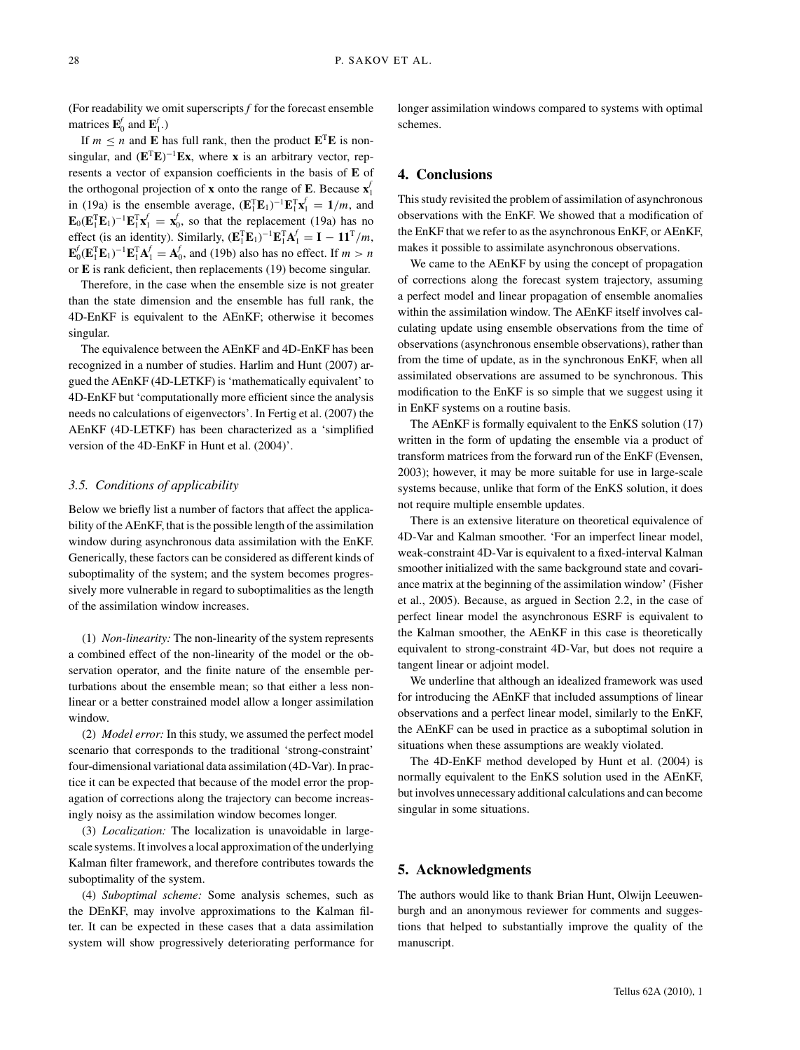(For readability we omit superscripts *f* for the forecast ensemble matrices  $\mathbf{E}_0^f$  and  $\mathbf{E}_1^f$ .)

If  $m \le n$  and **E** has full rank, then the product  $\mathbf{E}^T \mathbf{E}$  is nonsingular, and (**E**<sup>T</sup>**E**) <sup>−</sup><sup>1</sup>**Ex**, where **x** is an arbitrary vector, represents a vector of expansion coefficients in the basis of **E** of the orthogonal projection of **x** onto the range of **E**. Because **x** *f* 1 in (19a) is the ensemble average,  $(\mathbf{E}_1^T \mathbf{E}_1)^{-1} \mathbf{E}_1^T \mathbf{x}_1^T = 1/m$ , and  $\mathbf{E}_0(\mathbf{E}_1^T \mathbf{E}_1)^{-1} \mathbf{E}_1^T \mathbf{x}_1^f = \mathbf{x}_0^f$ , so that the replacement (19a) has no effect (is an identity). Similarly,  $(\mathbf{E}_1^T \mathbf{E}_1)^{-1} \mathbf{E}_1^T \mathbf{A}_1^f = \mathbf{I} - \mathbf{1} \mathbf{1}^T / m$ ,  $\mathbf{E}_0^f(\mathbf{E}_1^T \mathbf{E}_1)^{-1} \mathbf{E}_1^T \mathbf{A}_1^f = \mathbf{A}_0^f$ , and (19b) also has no effect. If  $m > n$ or **E** is rank deficient, then replacements (19) become singular.

Therefore, in the case when the ensemble size is not greater than the state dimension and the ensemble has full rank, the 4D-EnKF is equivalent to the AEnKF; otherwise it becomes singular.

The equivalence between the AEnKF and 4D-EnKF has been recognized in a number of studies. Harlim and Hunt (2007) argued the AEnKF (4D-LETKF) is 'mathematically equivalent' to 4D-EnKF but 'computationally more efficient since the analysis needs no calculations of eigenvectors'. In Fertig et al. (2007) the AEnKF (4D-LETKF) has been characterized as a 'simplified version of the 4D-EnKF in Hunt et al. (2004)'.

### *3.5. Conditions of applicability*

Below we briefly list a number of factors that affect the applicability of the AEnKF, that is the possible length of the assimilation window during asynchronous data assimilation with the EnKF. Generically, these factors can be considered as different kinds of suboptimality of the system; and the system becomes progressively more vulnerable in regard to suboptimalities as the length of the assimilation window increases.

(1) *Non-linearity:* The non-linearity of the system represents a combined effect of the non-linearity of the model or the observation operator, and the finite nature of the ensemble perturbations about the ensemble mean; so that either a less nonlinear or a better constrained model allow a longer assimilation window.

(2) *Model error:* In this study, we assumed the perfect model scenario that corresponds to the traditional 'strong-constraint' four-dimensional variational data assimilation (4D-Var). In practice it can be expected that because of the model error the propagation of corrections along the trajectory can become increasingly noisy as the assimilation window becomes longer.

(3) *Localization:* The localization is unavoidable in largescale systems. It involves a local approximation of the underlying Kalman filter framework, and therefore contributes towards the suboptimality of the system.

(4) *Suboptimal scheme:* Some analysis schemes, such as the DEnKF, may involve approximations to the Kalman filter. It can be expected in these cases that a data assimilation system will show progressively deteriorating performance for

longer assimilation windows compared to systems with optimal schemes.

## **4. Conclusions**

This study revisited the problem of assimilation of asynchronous observations with the EnKF. We showed that a modification of the EnKF that we refer to as the asynchronous EnKF, or AEnKF, makes it possible to assimilate asynchronous observations.

We came to the AEnKF by using the concept of propagation of corrections along the forecast system trajectory, assuming a perfect model and linear propagation of ensemble anomalies within the assimilation window. The AEnKF itself involves calculating update using ensemble observations from the time of observations (asynchronous ensemble observations), rather than from the time of update, as in the synchronous EnKF, when all assimilated observations are assumed to be synchronous. This modification to the EnKF is so simple that we suggest using it in EnKF systems on a routine basis.

The AEnKF is formally equivalent to the EnKS solution (17) written in the form of updating the ensemble via a product of transform matrices from the forward run of the EnKF (Evensen, 2003); however, it may be more suitable for use in large-scale systems because, unlike that form of the EnKS solution, it does not require multiple ensemble updates.

There is an extensive literature on theoretical equivalence of 4D-Var and Kalman smoother. 'For an imperfect linear model, weak-constraint 4D-Var is equivalent to a fixed-interval Kalman smoother initialized with the same background state and covariance matrix at the beginning of the assimilation window' (Fisher et al., 2005). Because, as argued in Section 2.2, in the case of perfect linear model the asynchronous ESRF is equivalent to the Kalman smoother, the AEnKF in this case is theoretically equivalent to strong-constraint 4D-Var, but does not require a tangent linear or adjoint model.

We underline that although an idealized framework was used for introducing the AEnKF that included assumptions of linear observations and a perfect linear model, similarly to the EnKF, the AEnKF can be used in practice as a suboptimal solution in situations when these assumptions are weakly violated.

The 4D-EnKF method developed by Hunt et al. (2004) is normally equivalent to the EnKS solution used in the AEnKF, but involves unnecessary additional calculations and can become singular in some situations.

## **5. Acknowledgments**

The authors would like to thank Brian Hunt, Olwijn Leeuwenburgh and an anonymous reviewer for comments and suggestions that helped to substantially improve the quality of the manuscript.